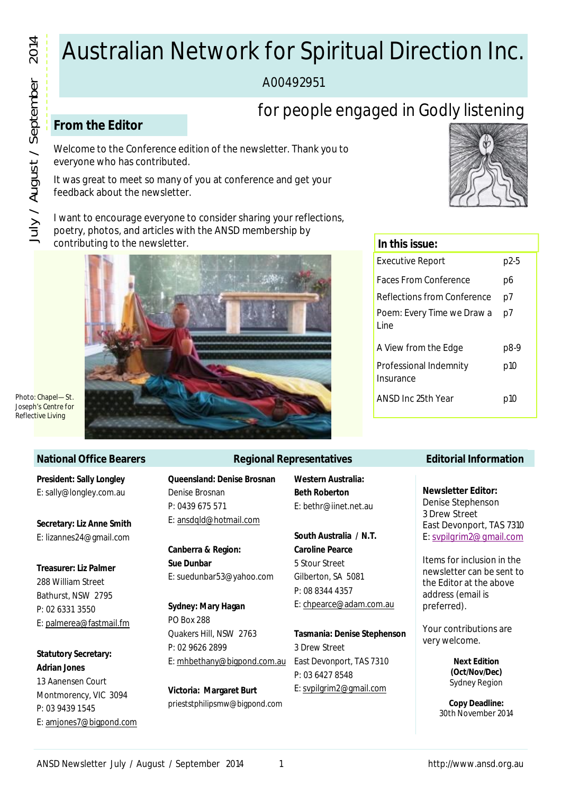# Australian Network for Spiritual Direction Inc.

A00492951

# for people engaged in Godly listening

# **From the Editor**

Welcome to the Conference edition of the newsletter. Thank you to everyone who has contributed.

It was great to meet so many of you at conference and get your feedback about the newsletter.

I want to encourage everyone to consider sharing your reflections, poetry, photos, and articles with the ANSD membership by contributing to the newsletter.



*Joseph's Centre for Reflective Living*

#### **National Office Bearers**

**President: Sally Longley** E: sally@longley.com.au

**Secretary: Liz Anne Smith** E: lizannes24@gmail.com

**Treasurer: Liz Palmer** 288 William Street Bathurst, NSW 2795 P: 02 6331 3550 E: palmerea@fastmail.fm

**Statutory Secretary: Adrian Jones**

13 Aanensen Court Montmorency, VIC 3094 P: 03 9439 1545 E: amjones7@bigpond.com

#### **Regional Representatives**

**Queensland: Denise Brosnan** Denise Brosnan P: 0439 675 571 E: ansdqld@hotmail.com

**Canberra & Region: Sue Dunbar** E: suedunbar53@yahoo.com

**Sydney: Mary Hagan** PO Box 288 Quakers Hill, NSW 2763 P: 02 9626 2899 E: mhbethany@bigpond.com.au

**Victoria: Margaret Burt** prieststphilipsmw@bigpond.com **Western Australia: Beth Roberton** E: bethr@iinet.net.au

**South Australia / N.T. Caroline Pearce** 5 Stour Street Gilberton, SA 5081 P: 08 8344 4357 E: chpearce@adam.com.au

**Tasmania: Denise Stephenson** 3 Drew Street East Devonport, TAS 7310 P: 03 6427 8548 E: svpilgrim2@gmail.com



| In this issue:                      |        |
|-------------------------------------|--------|
| Executive Report                    | $p2-5$ |
| Faces From Conference               | p6     |
| Reflections from Conference         | p7     |
| Poem: Every Time we Draw a<br>l ine | p7     |
| A View from the Edge                | p8-9   |
| Professional Indemnity<br>Insurance | p10    |
| ANSD Inc 25th Year                  | p10    |
|                                     |        |

#### **Editorial Information**

**Newsletter Editor:** Denise Stephenson

3 Drew Street East Devonport, TAS 7310 E: svpilgrim2@gmail.com

Items for inclusion in the newsletter can be sent to the Editor at the above address (email is preferred).

Your contributions are very welcome.

> **Next Edition (Oct/Nov/Dec)** Sydney Region

**Copy Deadline:**  30th November 2014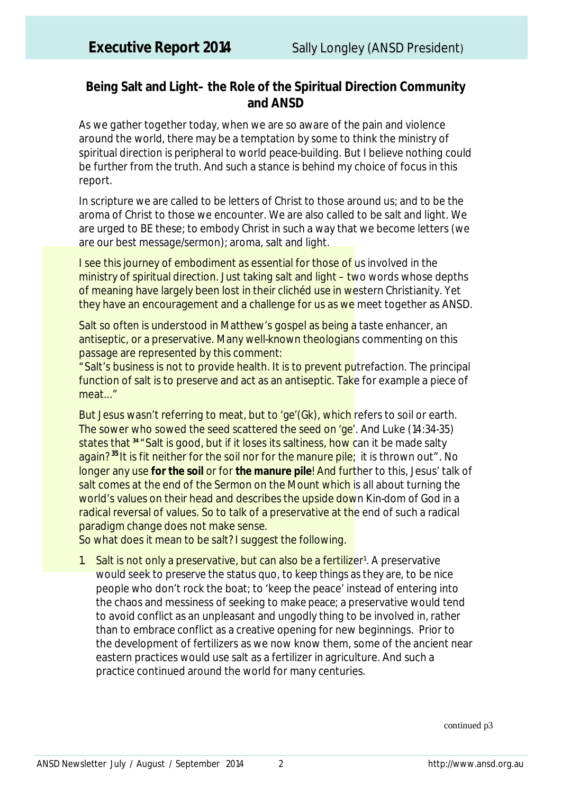## **Being Salt and Light– the Role of the Spiritual Direction Community and ANSD**

As we gather together today, when we are so aware of the pain and violence around the world, there may be a temptation by some to think the ministry of spiritual direction is peripheral to world peace-building. But I believe nothing could be further from the truth. And such a stance is behind my choice of focus in this report.

In scripture we are called to be letters of Christ to those around us; and to be the aroma of Christ to those we encounter. We are also called to be salt and light. We are urged to BE these; to embody Christ in such a way that we become letters (we are our best message/sermon); aroma, salt and light.

I see this journey of embodiment as essential for those of us involved in the ministry of spiritual direction. Just taking salt and light – two words whose depths of meaning have largely been lost in their clichéd use in western Christianity. Yet they have an encouragement and a challenge for us as we meet together as ANSD.

Salt so often is understood in Matthew's gospel as being a taste enhancer, an antiseptic, or a preservative. Many well-known theologians commenting on this passage are represented by this comment:

"Salt's business is not to provide health. It is to prevent putrefaction. The principal function of salt is to preserve and act as an antiseptic. Take for example a piece of meat..."

But Jesus wasn't referring to meat, but to '*ge'*(Gk), which refers to soil or earth. The sower who sowed the seed scattered the seed on '*ge'.* And Luke (14:34-35) states that **<sup>34</sup>** "Salt is good, but if it loses its saltiness, how can it be made salty again?<sup>35</sup> It is fit neither for the soil nor for the manure pile; it is thrown out". No longer any use **for the soil** or for **the manure pile**! And further to this, Jesus' talk of salt comes at the end of the Sermon on the Mount which is all about turning the world's values on their head and describes the upside down Kin-dom of God in a radical reversal of values. So to talk of a preservative at the end of such a radical paradigm change does not make sense.

So what does it mean to be salt? I suggest the following.

1. Salt is not only a preservative, but can also be a fertilizer<sup>1</sup>. A preservative would seek to *preserve* the status quo, to *keep things as they are*, to be nice people who don't rock the boat; to 'keep the peace' instead of entering into the chaos and messiness of seeking to *make peace*; a preservative would tend to avoid conflict as an unpleasant and ungodly thing to be involved in, rather than to embrace conflict as a creative opening for new beginnings. Prior to the development of fertilizers as we now know them, some of the ancient near eastern practices would use salt as a fertilizer in agriculture. And such a practice continued around the world for many centuries.

continued p3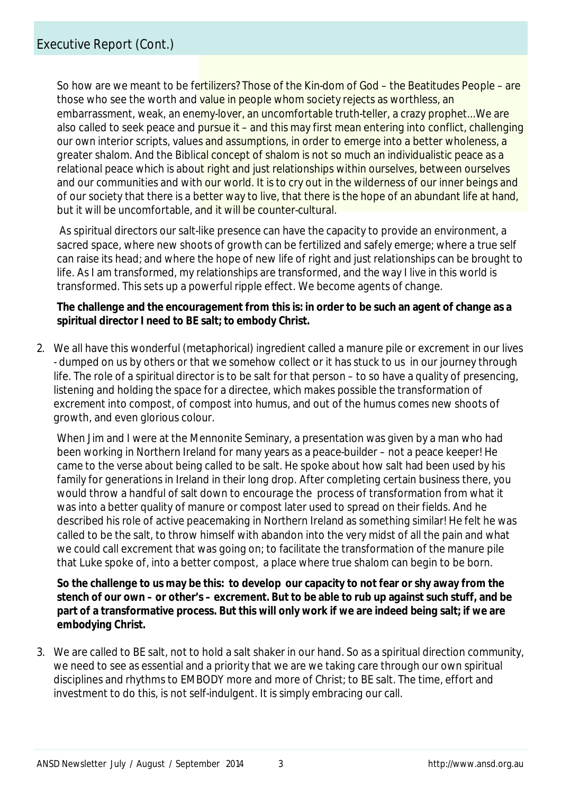So how are we meant to be fertilizers? Those of the Kin-dom of God - the Beatitudes People - are those who see the worth and value in people whom society rejects as worthless, an embarrassment, weak, an enemy-lover, an uncomfortable truth-teller, a crazy prophet...We are also called to seek peace and pursue it – and this may first mean entering into conflict, challenging *our own* interior scripts, values and assumptions, in order to emerge into a better wholeness, a greater shalom. And the Biblical concept of shalom is not so much an individualistic peace as a relational peace which is about right and just relationships within ourselves, between ourselves and our communities and with our world. It is to cry out in the wilderness of our inner beings and of our society that there is a better way to live, that there is the hope of an abundant life at hand, but it will be uncomfortable, and it will be counter-cultural.

As spiritual directors our salt-like presence can have the capacity to provide an environment, a sacred space, where new shoots of growth can be fertilized and safely emerge; where a true self can raise its head; and where the hope of new life of right and just relationships can be brought to life. As I am transformed, my relationships are transformed, and the way I live in this world is transformed. This sets up a powerful ripple effect. We become agents of change.

#### **The challenge and the encouragement from this is: in order to be such an agent of change as a spiritual director I need to BE salt; to embody Christ.**

2. We all have this wonderful (metaphorical) ingredient called a manure pile or excrement in our lives - dumped on us by others or that we somehow collect or it has stuck to us in our journey through life. The role of a spiritual director is to be salt for that person – to so have a quality of presencing, listening and holding the space for a directee, which makes possible the transformation of excrement into compost, of compost into humus, and out of the humus comes new shoots of growth, and even glorious colour.

When Jim and I were at the Mennonite Seminary, a presentation was given by a man who had been working in Northern Ireland for many years as a peace-builder – not a peace keeper! He came to the verse about being called to be salt. He spoke about how salt had been used by his family for generations in Ireland in their long drop. After completing certain business there, you would throw a handful of salt down to encourage the process of transformation from what it was into a better quality of manure or compost later used to spread on their fields. And he described his role of active peacemaking in Northern Ireland as something similar! He felt he was called to be the salt, to throw himself with abandon into the very midst of all the pain and what we could call excrement that was going on; to facilitate the transformation of the manure pile that Luke spoke of, into a better compost, a place where true shalom can begin to be born.

**So the challenge to us may be this: to develop our capacity to not fear or shy away from the stench of our own – or other's – excrement. But to be able to rub up against such stuff, and be part of a transformative process. But this will only work if we are indeed being salt; if we are embodying Christ.** 

3. We are called to BE salt, not to hold a salt shaker in our hand. So as a spiritual direction community, we need to see as essential and a priority that we are we taking care through our own spiritual disciplines and rhythms to EMBODY more and more of Christ; to BE salt. The time, effort and investment to do this, is not self-indulgent. It is simply embracing our call.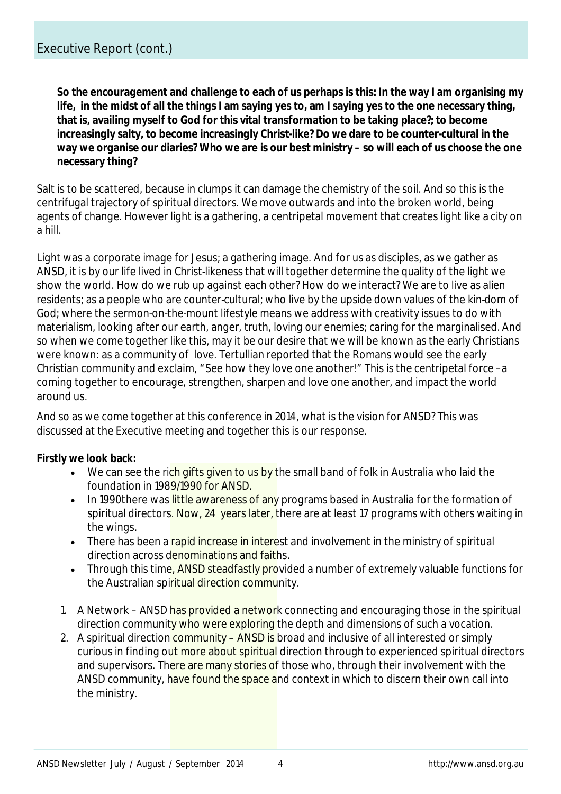**So the encouragement and challenge to each of us perhaps is this: In the way I am organising my life, in the midst of all the things I am saying yes to, am I saying yes to the one necessary thing, that is, availing myself to God for this vital transformation to be taking place?; to become increasingly salty, to become increasingly Christ-like? Do we dare to be counter-cultural in the way we organise our diaries? Who we are is our best ministry – so will each of us choose the one necessary thing?**

Salt is to be scattered, because in clumps it can damage the chemistry of the soil. And so this is the centrifugal trajectory of spiritual directors. We move outwards and into the broken world, being agents of change. However light is a gathering, a centripetal movement that creates light like a city on a hill.

Light was a corporate image for Jesus; a gathering image. And for us as disciples, as we gather as ANSD, it is by our life lived in Christ-likeness that will together determine the quality of the light we show the world. How do we rub up against each other? How do we interact? We are to live as alien residents; as a people who are counter-cultural; who live by the upside down values of the kin-dom of God; where the sermon-on-the-mount lifestyle means we address with creativity issues to do with materialism, looking after our earth, anger, truth, loving our enemies; caring for the marginalised. And so when we come together like this, may it be our desire that we will be known as the early Christians were known: as a community of love. Tertullian reported that the Romans would see the early Christian community and exclaim, "See how they love one another!" This is the centripetal force –a coming together to encourage, strengthen, sharpen and love one another, and impact the world around us.

And so as we come together at this conference in 2014, what is the vision for ANSD? This was discussed at the Executive meeting and together this is our response.

### **Firstly we look back:**

- We can see the rich gifts given to us by the small band of folk in Australia who laid the foundation in 1989/1990 for ANSD.
- In 1990there was little awareness of any programs based in Australia for the formation of spiritual directors. Now, 24 years later, there are at least 17 programs with others waiting in the wings.
- There has been a rapid increase in interest and involvement in the ministry of spiritual direction across denominations and faiths.
- Through this time, ANSD steadfastly provided a number of extremely valuable functions for the Australian spiritual direction community.
- 1. A Network ANSD has provided a network connecting and encouraging those in the spiritual direction community who were exploring the depth and dimensions of such a vocation.
- 2. A spiritual direction community ANSD is broad and inclusive of all interested or simply curious in finding out more about spiritual direction through to experienced spiritual directors and supervisors. There are many stories of those who, through their involvement with the ANSD community, have found the space and context in which to discern their own call into the ministry.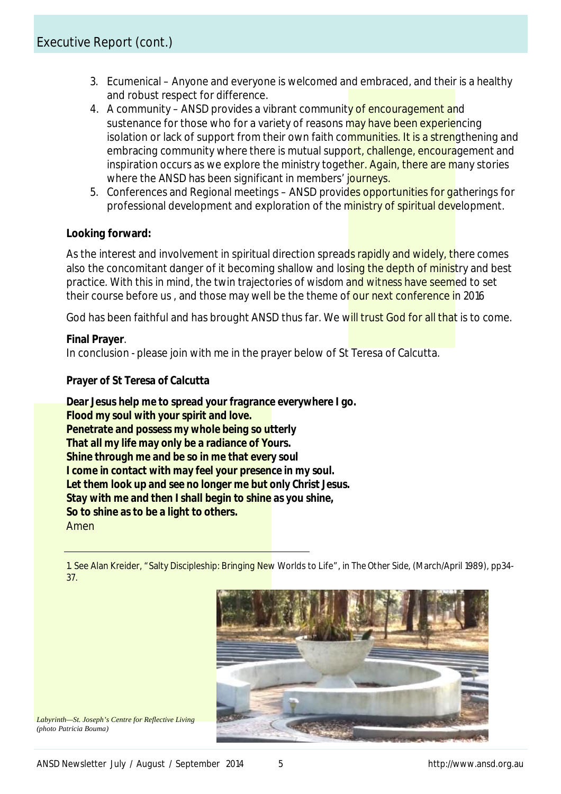- 3. Ecumenical Anyone and everyone is welcomed and embraced, and their is a healthy and robust respect for difference.
- 4. A community ANSD provides a vibrant community of encouragement and sustenance for those who for a variety of reasons may have been experiencing isolation or lack of support from their own faith communities. It is a strengthening and embracing community where there is mutual support, challenge, encouragement and inspiration occurs as we explore the ministry together. Again, there are many stories where the ANSD has been significant in members' journeys.
- 5. Conferences and Regional meetings ANSD provides opportunities for gatherings for professional development and exploration of the ministry of spiritual development.

### **Looking forward:**

As the interest and involvement in spiritual direction spreads rapidly and widely, there comes also the concomitant danger of it becoming shallow and losing the depth of ministry and best practice. With this in mind, the twin trajectories of *wisdom* and *witness* have seemed to set their course before us, and those may well be the theme of our next conference in 2016

God has been faithful and has brought ANSD thus far. We will trust God for all that is to come.

#### **Final Prayer**.

In conclusion - please join with me in the prayer below of St Teresa of Calcutta.

#### *Prayer of St Teresa of Calcutta*

*Dear Jesus help me to spread your fragrance everywhere I go. Flood my soul with your spirit and love. Penetrate and possess my whole being so utterly That all my life may only be a radiance of Yours. Shine through me and be so in me that every soul I come in contact with may feel your presence in my soul. Let them look up and see no longer me but only Christ Jesus. Stay with me and then I shall begin to shine as you shine, So to shine as to be a light to others.* Amen

1. See Alan Kreider, "Salty Discipleship: Bringing New Worlds to Life", in *The Other Side,* (March/April 1989), pp34- 37.



*Labyrinth—St. Joseph's Centre for Reflective Living (photo Patricia Bouma)*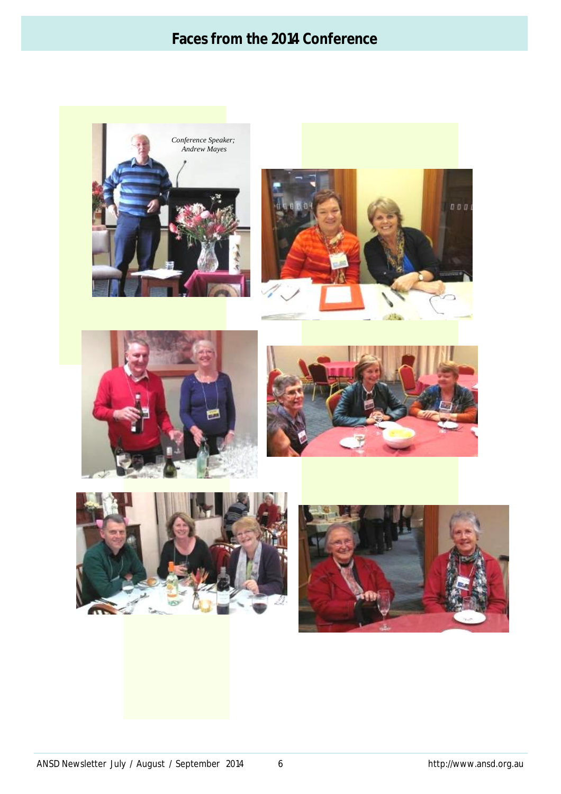# **Faces from the 2014 Conference**











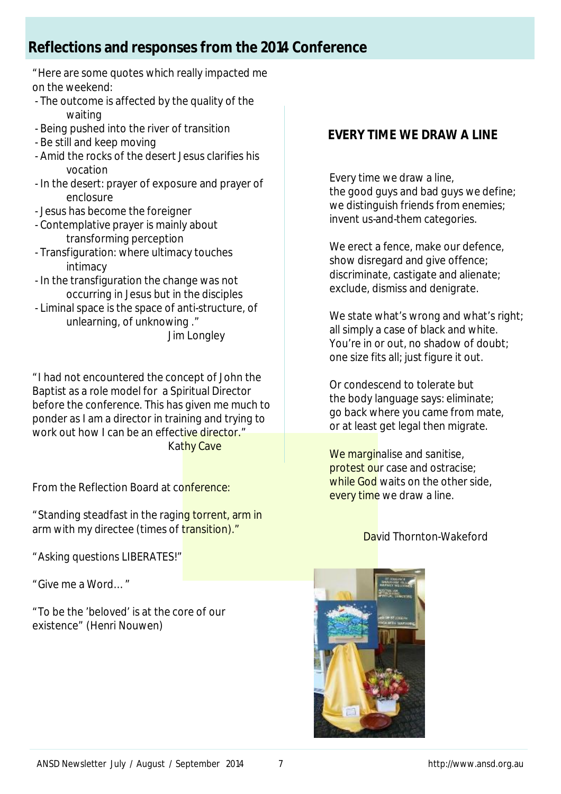# **Reflections and responses from the 2014 Conference**

"Here are some quotes which really impacted me on the weekend:

- The outcome is affected by the quality of the waiting
- Being pushed into the river of transition
- Be still and keep moving
- Amid the rocks of the desert Jesus clarifies his vocation
- In the desert: prayer of exposure and prayer of enclosure
- Jesus has become the foreigner
- Contemplative prayer is mainly about transforming perception
- Transfiguration: where ultimacy touches intimacy
- In the transfiguration the change was not occurring in Jesus but in the disciples
- Liminal space is the space of anti-structure, of unlearning, of unknowing ."

Jim Longley

"I had not encountered the concept of John the Baptist as a role model for a Spiritual Director before the conference. This has given me much to ponder as I am a director in training and trying to work out how I can be an effective director." Kathy Cave

From the Reflection Board at conference:

"Standing steadfast in the raging torrent, arm in arm with my directee (times of transition)."

"Asking questions LIBERATES!"

"Give me a Word…"

"To be the 'beloved' is at the core of our existence" (Henri Nouwen)

# **EVERY TIME WE DRAW A LINE**

Every time we draw a line, the good guys and bad guys we define; we distinguish friends from enemies; invent us-and-them categories.

We erect a fence, make our defence, show disregard and give offence; discriminate, castigate and alienate; exclude, dismiss and denigrate.

We state what's wrong and what's right; all simply a case of black and white. You're in or out, no shadow of doubt; one size fits all; just figure it out.

Or condescend to tolerate but the body language says: eliminate; go back where you came from mate, or at least get legal then migrate.

We marginalise and sanitise, protest our case and ostracise; while God waits on the other side, every time we draw a line.

### David Thornton-Wakeford

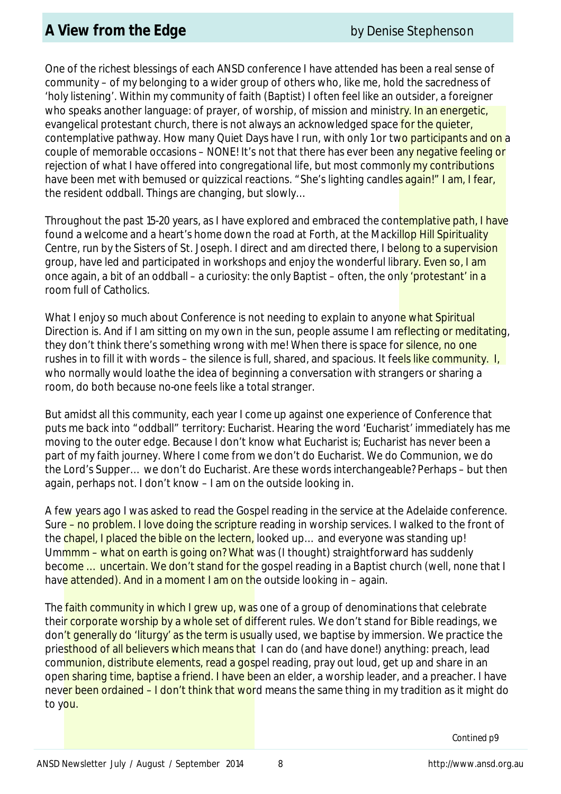One of the richest blessings of each ANSD conference I have attended has been a real sense of community – of my belonging to a wider group of others who, like me, hold the sacredness of 'holy listening'. Within my community of faith (Baptist) I often feel like an outsider, a foreigner who speaks another language: of prayer, of worship, of mission and ministry. In an energetic, evangelical protestant church, there is not always an acknowledged space for the quieter, contemplative pathway. How many Quiet Days have I run, with only 1 or two participants and on a couple of memorable occasions – NONE! It's not that there has ever been any negative feeling or rejection of what I have offered into congregational life, but most commonly my contributions have been met with bemused or quizzical reactions. "She's lighting candles again!" I am, I fear, the resident oddball. Things are changing, but slowly…

Throughout the past 15-20 years, as I have explored and embraced the contemplative path, I have found a welcome and a heart's home down the road at Forth, at the Mackillop Hill Spirituality Centre, run by the Sisters of St. Joseph. I direct and am directed there, I belong to a supervision group, have led and participated in workshops and enjoy the wonderful library. Even so, I am once again, a bit of an oddball – a curiosity: the only Baptist – often, the only 'protestant' in a room full of Catholics.

What I enjoy so much about Conference is not needing to explain to anyone what Spiritual Direction is. And if I am sitting on my own in the sun, people assume I am reflecting or meditating, they don't think there's something wrong with me! When there is space for silence, no one rushes in to fill it with words – the silence is full, shared, and spacious. It feels like community. I, who normally would loathe the idea of beginning a conversation with strangers or sharing a room, do both because no-one feels like a total stranger.

But amidst all this community, each year I come up against one experience of Conference that puts me back into "oddball" territory: Eucharist. Hearing the word 'Eucharist' immediately has me moving to the outer edge. Because I don't know what Eucharist is; Eucharist has never been a part of my faith journey. Where I come from we don't do Eucharist. We do Communion, we do the Lord's Supper… we don't do Eucharist. Are these words interchangeable? Perhaps – but then again, perhaps not. I don't know – I am on the outside looking in.

A few years ago I was asked to read the Gospel reading in the service at the Adelaide conference. Sure – no problem. I love doing the scripture reading in worship services. I walked to the front of the chapel, I placed the bible on the lectern, looked up... and everyone was standing up! Ummmm – what on earth is going on? What was (I thought) straightforward has suddenly become ... uncertain. We don't stand for the gospel reading in a Baptist church (well, none that I have attended). And in a moment I am on the outside looking in – again.

The **faith community in which I grew up, was** one of a group of denominations that celebrate their corporate worship by a whole set of different rules. We don't stand for Bible readings, we don't generally do 'liturgy' as the term is usually used, we baptise by immersion. We practice the priesthood of all believers which means that I can do (and have done!) anything: preach, lead communion, distribute elements, read a gospel reading, pray out loud, get up and share in an open sharing time, baptise a friend. I have been an elder, a worship leader, and a preacher. I have never been ordained – I don't think that word means the same thing in my tradition as it might do to you.

*Contined p9*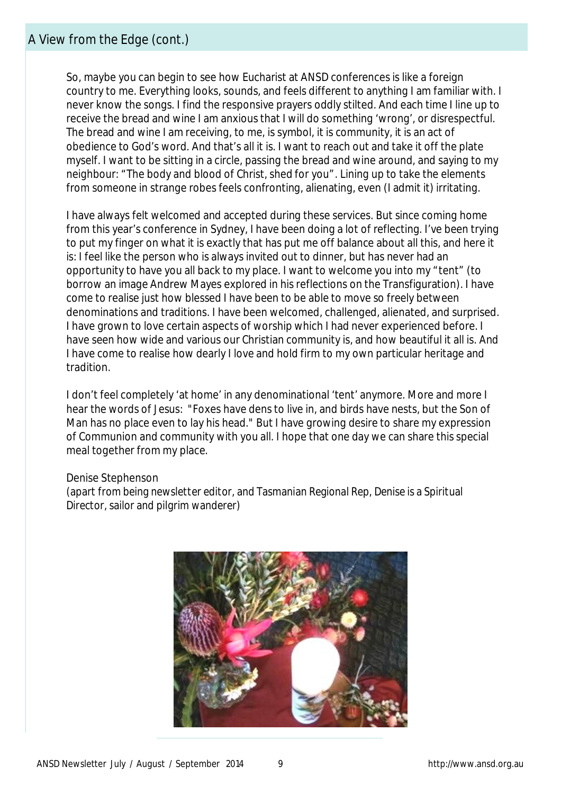So, maybe you can begin to see how Eucharist at ANSD conferences is like a foreign country to me. Everything looks, sounds, and feels different to anything I am familiar with. I never know the songs. I find the responsive prayers oddly stilted. And each time I line up to receive the bread and wine I am anxious that I will do something 'wrong', or disrespectful. The bread and wine I am receiving, to me, is symbol, it is community, it is an act of obedience to God's word. And that's all it is. I want to reach out and take it off the plate myself. I want to be sitting in a circle, passing the bread and wine around, and saying to my neighbour: "The body and blood of Christ, shed for you". Lining up to take the elements from someone in strange robes feels confronting, alienating, even (I admit it) irritating.

I have always felt welcomed and accepted during these services. But since coming home from this year's conference in Sydney, I have been doing a lot of reflecting. I've been trying to put my finger on what it is exactly that has put me off balance about all this, and here it is: I feel like the person who is always invited out to dinner, but has never had an opportunity to have you all back to my place. I want to welcome you into my "tent" (to borrow an image Andrew Mayes explored in his reflections on the Transfiguration). I have come to realise just how blessed I have been to be able to move so freely between denominations and traditions. I have been welcomed, challenged, alienated, and surprised. I have grown to love certain aspects of worship which I had never experienced before. I have seen how wide and various our Christian community is, and how beautiful it all is. And I have come to realise how dearly I love and hold firm to my own particular heritage and tradition.

I don't feel completely 'at home' in any denominational 'tent' anymore. More and more I hear the words of Jesus: "Foxes have dens to live in, and birds have nests, but the Son of Man has no place even to lay his head." But I have growing desire to share my expression of Communion and community with you all. I hope that one day we can share this special meal together from my place.

#### Denise Stephenson

*(apart from being newsletter editor, and Tasmanian Regional Rep, Denise is a Spiritual Director, sailor and pilgrim wanderer)*

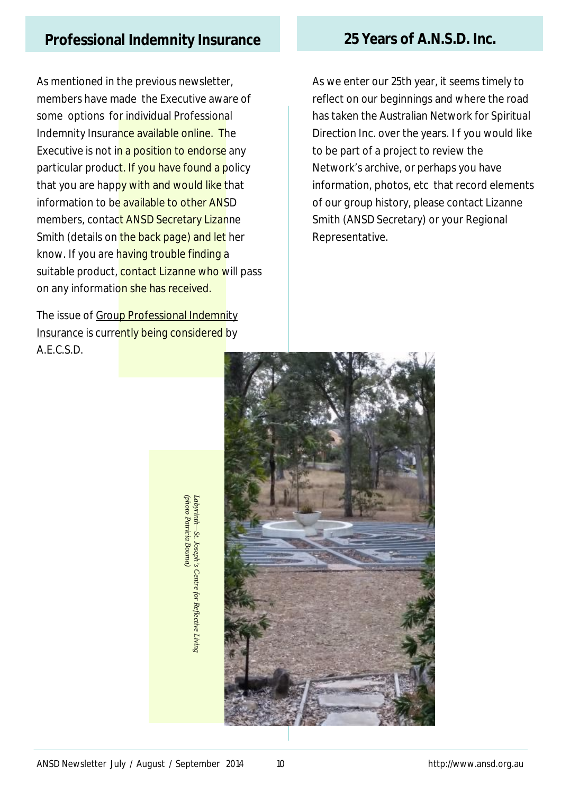# **Professional Indemnity Insurance 25 Years of A.N.S.D. Inc.**

As mentioned in the previous newsletter, members have made the Executive aware of some options for individual Professional Indemnity Insurance available online. The Executive is not in a position to endorse any particular product. If you have found a policy that you are happy with and would like that information to be available to other ANSD members, contact ANSD Secretary Lizanne Smith (details on the back page) and let her know. If you are having trouble finding a suitable product, contact Lizanne who will pass on any information she has received.

The issue of Group Professional Indemnity Insurance is currently being considered by A.E.C.S.D.

As we enter our 25th year, it seems timely to reflect on our beginnings and where the road has taken the Australian Network for Spiritual Direction Inc. over the years. I f you would like to be part of a project to review the Network's archive, or perhaps you have information, photos, etc that record elements of our group history, please contact Lizanne Smith (ANSD Secretary) or your Regional Representative.



photo Patricia Bouma) *(photo Patricia Bouma)Labyrinth —St. Joseph's Centre for Reflective Living*